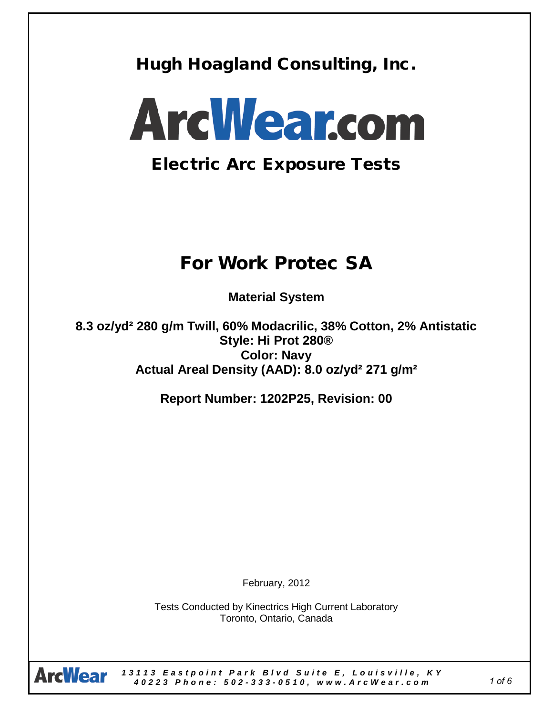Hugh Hoagland Consulting, Inc.



## Electric Arc Exposure Tests

# For Work Protec SA

**Material System** 

**8.3 oz/yd² 280 g/m Twill, 60% Modacrilic, 38% Cotton, 2% Antistatic Style: Hi Prot 280® Color: Navy Actual Areal Density (AAD): 8.0 oz/yd² 271 g/m²**

**Report Number: 1202P25, Revision: 00**

February, 2012

Tests Conducted by Kinectrics High Current Laboratory Toronto, Ontario, Canada



*13113 Eastpoint Park Blvd Suite E , Louisville, KY 40223 Phone: 502 - 3 3 3 - 0510 , www.A r c W ear.com*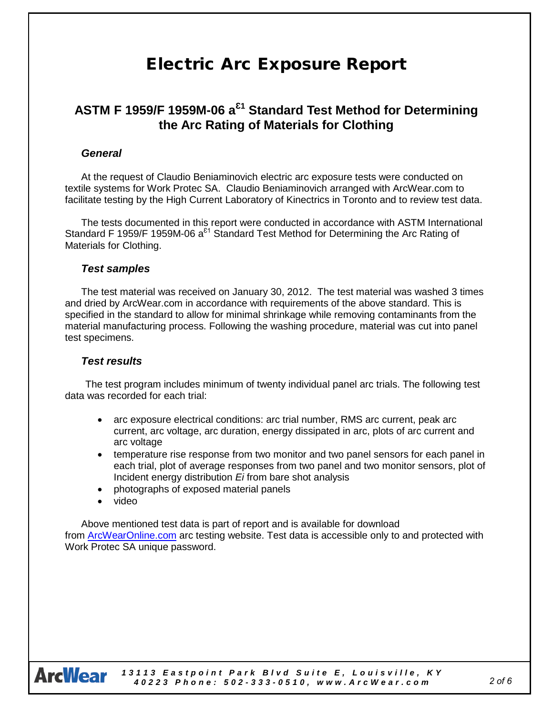### Electric Arc Exposure Report

### **ASTM F 1959/F 1959M-06 a<sup>Ɛ</sup><sup>1</sup> Standard Test Method for Determining the Arc Rating of Materials for Clothing**

#### *General*

At the request of Claudio Beniaminovich electric arc exposure tests were conducted on textile systems for Work Protec SA. Claudio Beniaminovich arranged with ArcWear.com to facilitate testing by the High Current Laboratory of Kinectrics in Toronto and to review test data.

The tests documented in this report were conducted in accordance with ASTM International Standard F 1959/F 1959M-06  $a^{21}$  Standard Test Method for Determining the Arc Rating of Materials for Clothing.

#### *Test samples*

The test material was received on January 30, 2012. The test material was washed 3 times and dried by ArcWear.com in accordance with requirements of the above standard. This is specified in the standard to allow for minimal shrinkage while removing contaminants from the material manufacturing process. Following the washing procedure, material was cut into panel test specimens.

#### *Test results*

The test program includes minimum of twenty individual panel arc trials. The following test data was recorded for each trial:

- arc exposure electrical conditions: arc trial number, RMS arc current, peak arc current, arc voltage, arc duration, energy dissipated in arc, plots of arc current and arc voltage
- temperature rise response from two monitor and two panel sensors for each panel in each trial, plot of average responses from two panel and two monitor sensors, plot of Incident energy distribution *Ei* from bare shot analysis
- photographs of exposed material panels
- video

Above mentioned test data is part of report and is available for download from [ArcWearOnline.com](http://arcwearonline.com/) arc testing website. Test data is accessible only to and protected with Work Protec SA unique password.



*13113 Eastpoint Park Blvd Suite E , Louisville, KY 40223 Phone: 502 - 3 3 3 - 0510 , www.A r c W ear.com*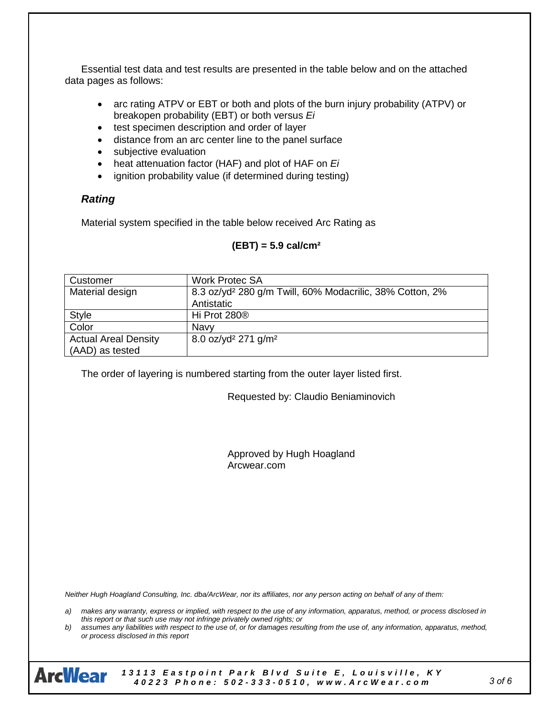Essential test data and test results are presented in the table below and on the attached data pages as follows:

- arc rating ATPV or EBT or both and plots of the burn injury probability (ATPV) or breakopen probability (EBT) or both versus *Ei*
- test specimen description and order of layer
- distance from an arc center line to the panel surface
- subjective evaluation
- heat attenuation factor (HAF) and plot of HAF on *Ei*
- ignition probability value (if determined during testing)

#### *Rating*

Material system specified in the table below received Arc Rating as

#### **(EBT) = 5.9 cal/cm²**

| Customer                    | <b>Work Protec SA</b>                                                |  |  |  |  |
|-----------------------------|----------------------------------------------------------------------|--|--|--|--|
| Material design             | 8.3 oz/yd <sup>2</sup> 280 g/m Twill, 60% Modacrilic, 38% Cotton, 2% |  |  |  |  |
|                             | Antistatic                                                           |  |  |  |  |
| <b>Style</b>                | Hi Prot 280 <sup>®</sup>                                             |  |  |  |  |
| Color                       | Navy                                                                 |  |  |  |  |
| <b>Actual Areal Density</b> | 8.0 oz/yd <sup>2</sup> 271 g/m <sup>2</sup>                          |  |  |  |  |
| (AAD) as tested             |                                                                      |  |  |  |  |

The order of layering is numbered starting from the outer layer listed first.

Requested by: Claudio Beniaminovich

Approved by Hugh Hoagland Arcwear.com

*Neither Hugh Hoagland Consulting, Inc. dba/ArcWear, nor its affiliates, nor any person acting on behalf of any of them:*

*a) makes any warranty, express or implied, with respect to the use of any information, apparatus, method, or process disclosed in this report or that such use may not infringe privately owned rights; or*

*b) assumes any liabilities with respect to the use of, or for damages resulting from the use of, any information, apparatus, method, or process disclosed in this report*



*13113 Eastpoint Park Blvd Suite E , Louisville, KY 40223 Phone: 502 - 3 3 3 - 0510 , www.A r c W ear.com*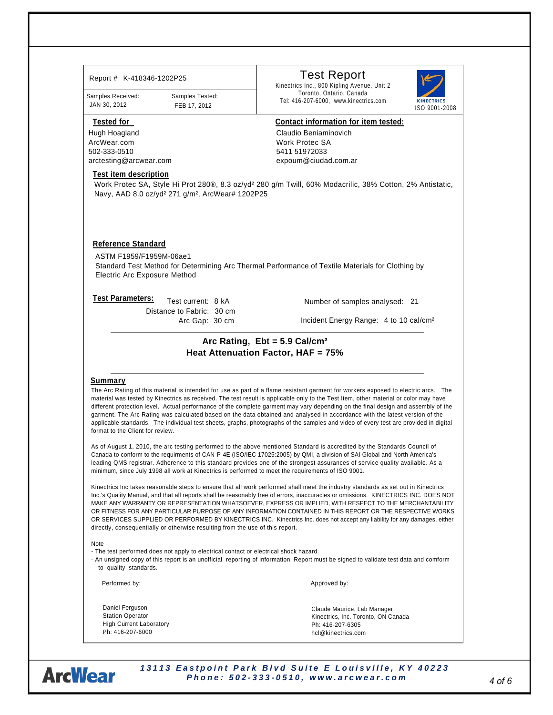| Report # K-418346-1202P25                                                                                              | <b>Test Report</b>                                                                                                                                                                                                                                                                                                                                                                                                                                                                                                                                                                                                              |
|------------------------------------------------------------------------------------------------------------------------|---------------------------------------------------------------------------------------------------------------------------------------------------------------------------------------------------------------------------------------------------------------------------------------------------------------------------------------------------------------------------------------------------------------------------------------------------------------------------------------------------------------------------------------------------------------------------------------------------------------------------------|
| Samples Received:<br>Samples Tested:                                                                                   | Kinectrics Inc., 800 Kipling Avenue, Unit 2<br>Toronto, Ontario, Canada                                                                                                                                                                                                                                                                                                                                                                                                                                                                                                                                                         |
| JAN 30, 2012<br>FEB 17, 2012                                                                                           | <b>KINECTRICS</b><br>Tel: 416-207-6000, www.kinectrics.com<br>ISO 9001-2008                                                                                                                                                                                                                                                                                                                                                                                                                                                                                                                                                     |
| <b>Tested for</b>                                                                                                      | Contact information for item tested:                                                                                                                                                                                                                                                                                                                                                                                                                                                                                                                                                                                            |
| Hugh Hoagland                                                                                                          | Claudio Beniaminovich                                                                                                                                                                                                                                                                                                                                                                                                                                                                                                                                                                                                           |
| ArcWear.com<br>502-333-0510                                                                                            | Work Protec SA<br>5411 51972033                                                                                                                                                                                                                                                                                                                                                                                                                                                                                                                                                                                                 |
| arctesting@arcwear.com                                                                                                 | expoum@ciudad.com.ar                                                                                                                                                                                                                                                                                                                                                                                                                                                                                                                                                                                                            |
| <b>Test item description</b>                                                                                           |                                                                                                                                                                                                                                                                                                                                                                                                                                                                                                                                                                                                                                 |
| Navy, AAD 8.0 oz/yd <sup>2</sup> 271 g/m <sup>2</sup> , ArcWear# 1202P25                                               | Work Protec SA, Style Hi Prot 280®, 8.3 oz/yd <sup>2</sup> 280 g/m Twill, 60% Modacrilic, 38% Cotton, 2% Antistatic,                                                                                                                                                                                                                                                                                                                                                                                                                                                                                                            |
| <b>Reference Standard</b>                                                                                              |                                                                                                                                                                                                                                                                                                                                                                                                                                                                                                                                                                                                                                 |
| ASTM F1959/F1959M-06ae1<br><b>Electric Arc Exposure Method</b>                                                         | Standard Test Method for Determining Arc Thermal Performance of Textile Materials for Clothing by                                                                                                                                                                                                                                                                                                                                                                                                                                                                                                                               |
| <b>Test Parameters:</b><br>Test current: 8 kA<br>Distance to Fabric: 30 cm                                             | Number of samples analysed: 21                                                                                                                                                                                                                                                                                                                                                                                                                                                                                                                                                                                                  |
|                                                                                                                        | Incident Energy Range: 4 to 10 cal/cm <sup>2</sup><br>Arc Gap: 30 cm                                                                                                                                                                                                                                                                                                                                                                                                                                                                                                                                                            |
| Summary                                                                                                                |                                                                                                                                                                                                                                                                                                                                                                                                                                                                                                                                                                                                                                 |
|                                                                                                                        | The Arc Rating of this material is intended for use as part of a flame resistant garment for workers exposed to electric arcs. The<br>material was tested by Kinectrics as received. The test result is applicable only to the Test Item, other material or color may have                                                                                                                                                                                                                                                                                                                                                      |
| format to the Client for review.                                                                                       | different protection level. Actual performance of the complete garment may vary depending on the final design and assembly of the<br>garment. The Arc Rating was calculated based on the data obtained and analysed in accordance with the latest version of the<br>applicable standards. The individual test sheets, graphs, photographs of the samples and video of every test are provided in digital                                                                                                                                                                                                                        |
|                                                                                                                        | As of August 1, 2010, the arc testing performed to the above mentioned Standard is accredited by the Standards Council of<br>Canada to conform to the requirments of CAN-P-4E (ISO/IEC 17025:2005) by QMI, a division of SAI Global and North America's<br>leading QMS registrar. Adherence to this standard provides one of the strongest assurances of service quality available. As a<br>minimum, since July 1998 all work at Kinectrics is performed to meet the requirements of ISO 9001.                                                                                                                                  |
| directly, consequentially or otherwise resulting from the use of this report.                                          | Kinectrics Inc takes reasonable steps to ensure that all work performed shall meet the industry standards as set out in Kinectrics<br>Inc.'s Quality Manual, and that all reports shall be reasonably free of errors, inaccuracies or omissions. KINECTRICS INC. DOES NOT<br>MAKE ANY WARRANTY OR REPRESENTATION WHATSOEVER, EXPRESS OR IMPLIED, WITH RESPECT TO THE MERCHANTABILITY<br>OR FITNESS FOR ANY PARTICULAR PURPOSE OF ANY INFORMATION CONTAINED IN THIS REPORT OR THE RESPECTIVE WORKS<br>OR SERVICES SUPPLIED OR PERFORMED BY KINECTRICS INC. Kinectrics Inc. does not accept any liability for any damages, either |
| Note<br>- The test performed does not apply to electrical contact or electrical shock hazard.<br>to quality standards. | - An unsigned copy of this report is an unofficial reporting of information. Report must be signed to validate test data and comform                                                                                                                                                                                                                                                                                                                                                                                                                                                                                            |
| Performed by:                                                                                                          | Approved by:                                                                                                                                                                                                                                                                                                                                                                                                                                                                                                                                                                                                                    |
| Daniel Ferguson                                                                                                        |                                                                                                                                                                                                                                                                                                                                                                                                                                                                                                                                                                                                                                 |
| <b>Station Operator</b><br><b>High Current Laboratory</b>                                                              | Claude Maurice, Lab Manager<br>Kinectrics, Inc. Toronto, ON Canada                                                                                                                                                                                                                                                                                                                                                                                                                                                                                                                                                              |

*4 of 6*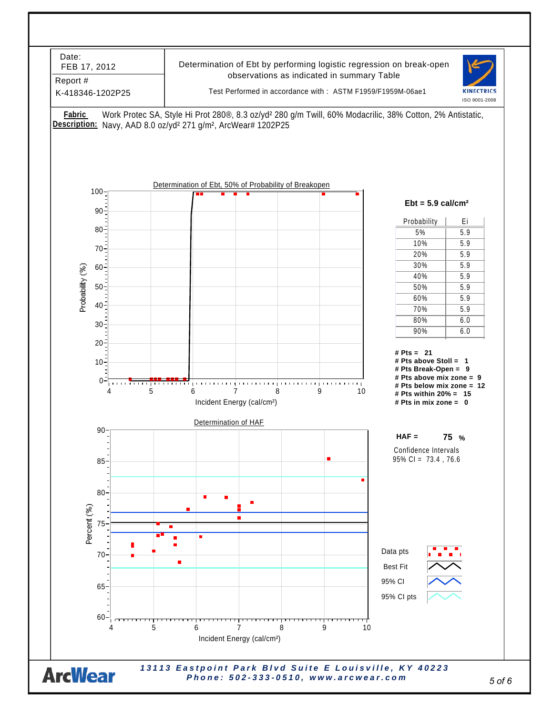